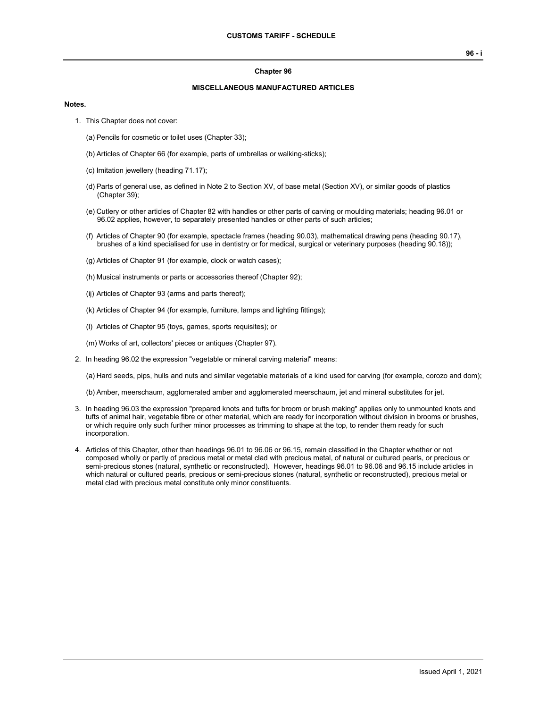#### **Chapter 96**

### **MISCELLANEOUS MANUFACTURED ARTICLES**

### **Notes.**

- 1. This Chapter does not cover:
	- (a) Pencils for cosmetic or toilet uses (Chapter 33);
	- (b) Articles of Chapter 66 (for example, parts of umbrellas or walking-sticks);
	- (c) Imitation jewellery (heading 71.17);
	- (d) Parts of general use, as defined in Note 2 to Section XV, of base metal (Section XV), or similar goods of plastics (Chapter 39);
	- (e) Cutlery or other articles of Chapter 82 with handles or other parts of carving or moulding materials; heading 96.01 or 96.02 applies, however, to separately presented handles or other parts of such articles;
	- (f) Articles of Chapter 90 (for example, spectacle frames (heading 90.03), mathematical drawing pens (heading 90.17), brushes of a kind specialised for use in dentistry or for medical, surgical or veterinary purposes (heading 90.18));
	- (g) Articles of Chapter 91 (for example, clock or watch cases);
	- (h) Musical instruments or parts or accessories thereof (Chapter 92);
	- (ij) Articles of Chapter 93 (arms and parts thereof);
	- (k) Articles of Chapter 94 (for example, furniture, lamps and lighting fittings);
	- (l) Articles of Chapter 95 (toys, games, sports requisites); or
	- (m) Works of art, collectors' pieces or antiques (Chapter 97).
- 2. In heading 96.02 the expression "vegetable or mineral carving material" means:

(a) Hard seeds, pips, hulls and nuts and similar vegetable materials of a kind used for carving (for example, corozo and dom);

(b) Amber, meerschaum, agglomerated amber and agglomerated meerschaum, jet and mineral substitutes for jet.

- 3. In heading 96.03 the expression "prepared knots and tufts for broom or brush making" applies only to unmounted knots and tufts of animal hair, vegetable fibre or other material, which are ready for incorporation without division in brooms or brushes, or which require only such further minor processes as trimming to shape at the top, to render them ready for such incorporation.
- 4. Articles of this Chapter, other than headings 96.01 to 96.06 or 96.15, remain classified in the Chapter whether or not composed wholly or partly of precious metal or metal clad with precious metal, of natural or cultured pearls, or precious or semi-precious stones (natural, synthetic or reconstructed). However, headings 96.01 to 96.06 and 96.15 include articles in which natural or cultured pearls, precious or semi-precious stones (natural, synthetic or reconstructed), precious metal or metal clad with precious metal constitute only minor constituents.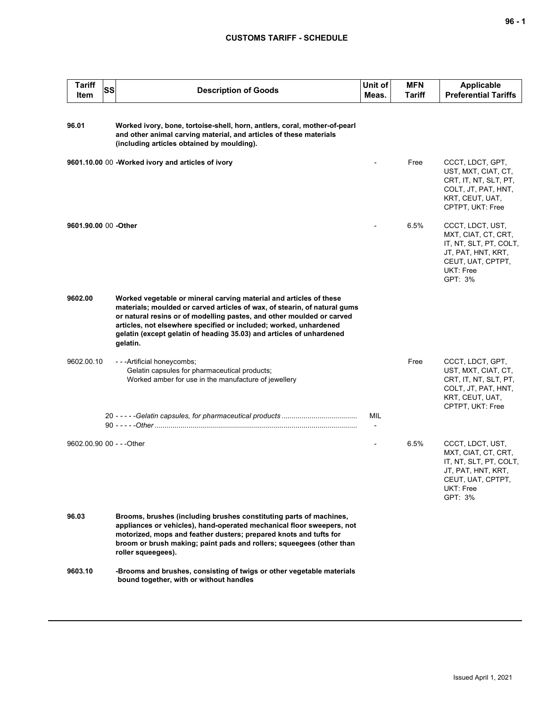| <b>Tariff</b><br>Item     | SS | <b>Description of Goods</b>                                                                                                                                                                                                                                                                                                                                                       | Unit of<br>Meas. | <b>MFN</b><br>Tariff | <b>Applicable</b><br><b>Preferential Tariffs</b>                                                                                     |
|---------------------------|----|-----------------------------------------------------------------------------------------------------------------------------------------------------------------------------------------------------------------------------------------------------------------------------------------------------------------------------------------------------------------------------------|------------------|----------------------|--------------------------------------------------------------------------------------------------------------------------------------|
| 96.01                     |    | Worked ivory, bone, tortoise-shell, horn, antlers, coral, mother-of-pearl<br>and other animal carving material, and articles of these materials<br>(including articles obtained by moulding).                                                                                                                                                                                     |                  |                      |                                                                                                                                      |
|                           |    | 9601.10.00 00 -Worked ivory and articles of ivory                                                                                                                                                                                                                                                                                                                                 |                  | Free                 | CCCT, LDCT, GPT,<br>UST, MXT, CIAT, CT,<br>CRT, IT, NT, SLT, PT,<br>COLT, JT, PAT, HNT,<br>KRT, CEUT, UAT,<br>CPTPT, UKT: Free       |
| 9601.90.00 00 -Other      |    |                                                                                                                                                                                                                                                                                                                                                                                   |                  | 6.5%                 | CCCT, LDCT, UST,<br>MXT, CIAT, CT, CRT,<br>IT, NT, SLT, PT, COLT,<br>JT, PAT, HNT, KRT,<br>CEUT, UAT, CPTPT,<br>UKT: Free<br>GPT: 3% |
| 9602.00                   |    | Worked vegetable or mineral carving material and articles of these<br>materials; moulded or carved articles of wax, of stearin, of natural gums<br>or natural resins or of modelling pastes, and other moulded or carved<br>articles, not elsewhere specified or included; worked, unhardened<br>gelatin (except gelatin of heading 35.03) and articles of unhardened<br>gelatin. |                  |                      |                                                                                                                                      |
| 9602.00.10                |    | - - - Artificial honeycombs;<br>Gelatin capsules for pharmaceutical products;<br>Worked amber for use in the manufacture of jewellery                                                                                                                                                                                                                                             |                  | Free                 | CCCT, LDCT, GPT,<br>UST, MXT, CIAT, CT,<br>CRT, IT, NT, SLT, PT,<br>COLT, JT, PAT, HNT,<br>KRT, CEUT, UAT,<br>CPTPT, UKT: Free       |
|                           |    |                                                                                                                                                                                                                                                                                                                                                                                   | MIL              |                      |                                                                                                                                      |
| 9602.00.90 00 - - - Other |    |                                                                                                                                                                                                                                                                                                                                                                                   |                  | 6.5%                 | CCCT, LDCT, UST,<br>MXT, CIAT, CT, CRT,<br>IT, NT, SLT, PT, COLT,<br>JT, PAT, HNT, KRT,<br>CEUT, UAT, CPTPT,<br>UKT: Free<br>GPT: 3% |
| 96.03                     |    | Brooms, brushes (including brushes constituting parts of machines,<br>appliances or vehicles), hand-operated mechanical floor sweepers, not<br>motorized, mops and feather dusters; prepared knots and tufts for<br>broom or brush making; paint pads and rollers; squeegees (other than<br>roller squeegees).                                                                    |                  |                      |                                                                                                                                      |
| 9603.10                   |    | -Brooms and brushes, consisting of twigs or other vegetable materials<br>bound together, with or without handles                                                                                                                                                                                                                                                                  |                  |                      |                                                                                                                                      |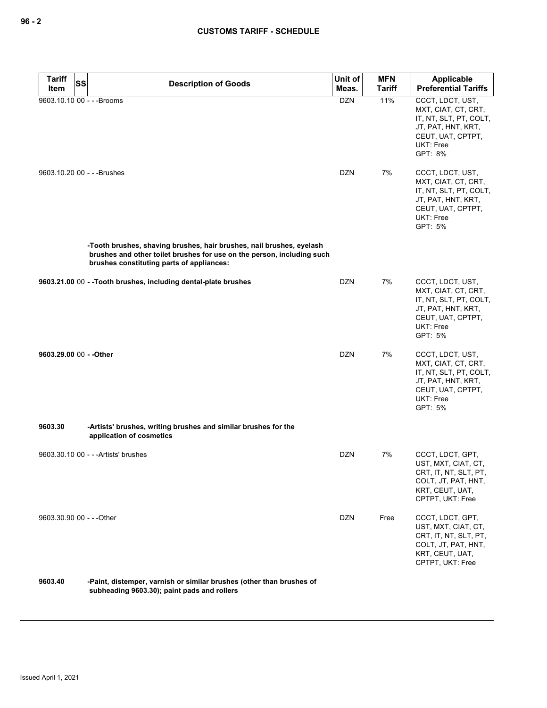| <b>Tariff</b><br><b>SS</b><br>Item | <b>Description of Goods</b>                                                                                                                                                                 | Unit of<br>Meas. | <b>MFN</b><br><b>Tariff</b> | Applicable<br><b>Preferential Tariffs</b>                                                                                            |
|------------------------------------|---------------------------------------------------------------------------------------------------------------------------------------------------------------------------------------------|------------------|-----------------------------|--------------------------------------------------------------------------------------------------------------------------------------|
| 9603.10.10 00 - - - Brooms         |                                                                                                                                                                                             | <b>DZN</b>       | 11%                         | CCCT, LDCT, UST,<br>MXT, CIAT, CT, CRT,<br>IT, NT, SLT, PT, COLT,<br>JT, PAT, HNT, KRT,<br>CEUT, UAT, CPTPT,<br>UKT: Free<br>GPT: 8% |
| 9603.10.20 00 - - - Brushes        |                                                                                                                                                                                             | <b>DZN</b>       | 7%                          | CCCT, LDCT, UST,<br>MXT, CIAT, CT, CRT,<br>IT, NT, SLT, PT, COLT,<br>JT, PAT, HNT, KRT,<br>CEUT, UAT, CPTPT,<br>UKT: Free<br>GPT: 5% |
|                                    | -Tooth brushes, shaving brushes, hair brushes, nail brushes, eyelash<br>brushes and other toilet brushes for use on the person, including such<br>brushes constituting parts of appliances: |                  |                             |                                                                                                                                      |
|                                    | 9603.21.00 00 - - Tooth brushes, including dental-plate brushes                                                                                                                             | <b>DZN</b>       | 7%                          | CCCT, LDCT, UST,<br>MXT, CIAT, CT, CRT,<br>IT, NT, SLT, PT, COLT,<br>JT, PAT, HNT, KRT,<br>CEUT, UAT, CPTPT,<br>UKT: Free<br>GPT: 5% |
| 9603.29.00 00 - - Other            |                                                                                                                                                                                             | <b>DZN</b>       | 7%                          | CCCT, LDCT, UST,<br>MXT, CIAT, CT, CRT,<br>IT, NT, SLT, PT, COLT,<br>JT, PAT, HNT, KRT,<br>CEUT, UAT, CPTPT,<br>UKT: Free<br>GPT: 5% |
| 9603.30                            | -Artists' brushes, writing brushes and similar brushes for the<br>application of cosmetics                                                                                                  |                  |                             |                                                                                                                                      |
|                                    | 9603.30.10 00 - - - Artists' brushes                                                                                                                                                        | <b>DZN</b>       | 7%                          | CCCT, LDCT, GPT,<br>UST, MXT, CIAT, CT,<br>CRT, IT, NT, SLT, PT,<br>COLT, JT, PAT, HNT,<br>KRT, CEUT, UAT,<br>CPTPT, UKT: Free       |
| 9603.30.90 00 - - - Other          |                                                                                                                                                                                             | <b>DZN</b>       | Free                        | CCCT, LDCT, GPT,<br>UST, MXT, CIAT, CT,<br>CRT, IT, NT, SLT, PT,<br>COLT, JT, PAT, HNT,<br>KRT, CEUT, UAT,<br>CPTPT, UKT: Free       |
| 9603.40                            | -Paint, distemper, varnish or similar brushes (other than brushes of                                                                                                                        |                  |                             |                                                                                                                                      |

**subheading 9603.30); paint pads and rollers**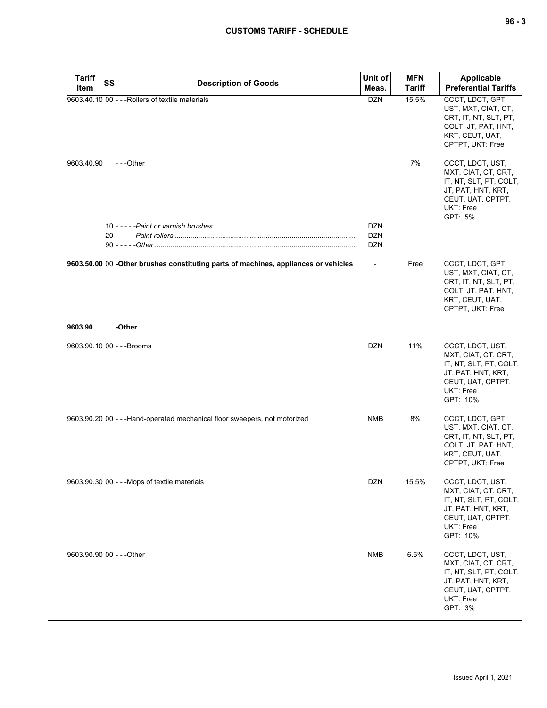| <b>Tariff</b> | SS<br><b>Description of Goods</b>                                                   | Unit of    | <b>MFN</b>    | Applicable                                                                                                                            |
|---------------|-------------------------------------------------------------------------------------|------------|---------------|---------------------------------------------------------------------------------------------------------------------------------------|
| Item          |                                                                                     | Meas.      | <b>Tariff</b> | <b>Preferential Tariffs</b>                                                                                                           |
|               | 9603.40.10 00 - - - Rollers of textile materials                                    | <b>DZN</b> | 15.5%         | CCCT, LDCT, GPT,<br>UST, MXT, CIAT, CT,<br>CRT, IT, NT, SLT, PT,<br>COLT, JT, PAT, HNT,<br>KRT, CEUT, UAT,<br>CPTPT, UKT: Free        |
| 9603.40.90    | ---Other                                                                            |            | 7%            | CCCT, LDCT, UST,<br>MXT, CIAT, CT, CRT,<br>IT, NT, SLT, PT, COLT,<br>JT, PAT, HNT, KRT,<br>CEUT, UAT, CPTPT,<br>UKT: Free<br>GPT: 5%  |
|               |                                                                                     | <b>DZN</b> |               |                                                                                                                                       |
|               |                                                                                     | <b>DZN</b> |               |                                                                                                                                       |
|               |                                                                                     | <b>DZN</b> |               |                                                                                                                                       |
|               | 9603.50.00 00 -Other brushes constituting parts of machines, appliances or vehicles |            | Free          | CCCT, LDCT, GPT,<br>UST, MXT, CIAT, CT,<br>CRT, IT, NT, SLT, PT,<br>COLT, JT, PAT, HNT,<br>KRT, CEUT, UAT,<br>CPTPT, UKT: Free        |
| 9603.90       | -Other                                                                              |            |               |                                                                                                                                       |
|               | 9603.90.10 00 - - - Brooms                                                          | DZN        | 11%           | CCCT, LDCT, UST,<br>MXT, CIAT, CT, CRT,<br>IT, NT, SLT, PT, COLT,<br>JT, PAT, HNT, KRT,<br>CEUT, UAT, CPTPT,<br>UKT: Free<br>GPT: 10% |
|               | 9603.90.20 00 - - - Hand-operated mechanical floor sweepers, not motorized          | <b>NMB</b> | 8%            | CCCT, LDCT, GPT,<br>UST, MXT, CIAT, CT,<br>CRT, IT, NT, SLT, PT,<br>COLT, JT, PAT, HNT,<br>KRT, CEUT, UAT,<br>CPTPT, UKT: Free        |
|               | 9603.90.30 00 - - - Mops of textile materials                                       | <b>DZN</b> | 15.5%         | CCCT, LDCT, UST,<br>MXT, CIAT, CT, CRT,<br>IT, NT, SLT, PT, COLT,<br>JT, PAT, HNT, KRT,<br>CEUT, UAT, CPTPT,<br>UKT: Free<br>GPT: 10% |
|               | 9603.90.90 00 - - - Other                                                           | <b>NMB</b> | 6.5%          | CCCT, LDCT, UST,<br>MXT, CIAT, CT, CRT,<br>IT, NT, SLT, PT, COLT,<br>JT, PAT, HNT, KRT,<br>CEUT, UAT, CPTPT,<br>UKT: Free<br>GPT: 3%  |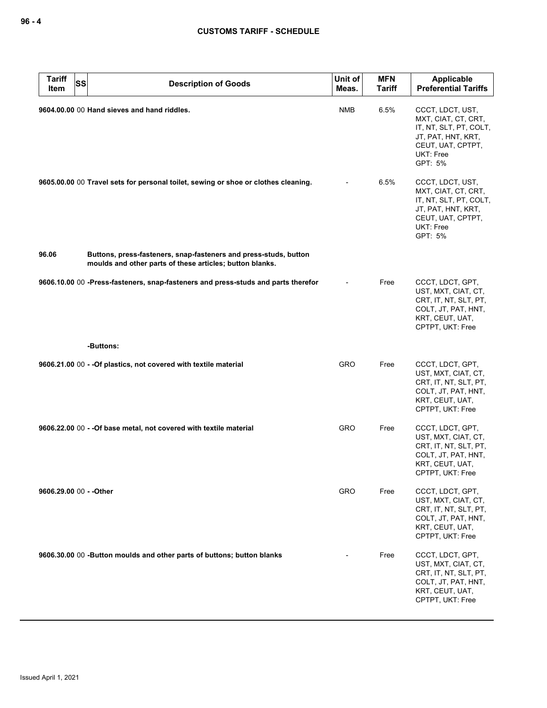| <b>Tariff</b><br>Item   | <b>SS</b><br><b>Description of Goods</b>                                                                                     | Unit of<br>Meas. | <b>MFN</b><br><b>Tariff</b> | <b>Applicable</b><br><b>Preferential Tariffs</b>                                                                                     |
|-------------------------|------------------------------------------------------------------------------------------------------------------------------|------------------|-----------------------------|--------------------------------------------------------------------------------------------------------------------------------------|
|                         | 9604.00.00 00 Hand sieves and hand riddles.                                                                                  | NMB              | 6.5%                        | CCCT, LDCT, UST,<br>MXT, CIAT, CT, CRT,<br>IT, NT, SLT, PT, COLT,<br>JT, PAT, HNT, KRT,<br>CEUT, UAT, CPTPT,<br>UKT: Free<br>GPT: 5% |
|                         | 9605.00.00 00 Travel sets for personal toilet, sewing or shoe or clothes cleaning.                                           |                  | 6.5%                        | CCCT, LDCT, UST,<br>MXT, CIAT, CT, CRT,<br>IT, NT, SLT, PT, COLT,<br>JT, PAT, HNT, KRT,<br>CEUT, UAT, CPTPT,<br>UKT: Free<br>GPT: 5% |
| 96.06                   | Buttons, press-fasteners, snap-fasteners and press-studs, button<br>moulds and other parts of these articles; button blanks. |                  |                             |                                                                                                                                      |
|                         | 9606.10.00 00 -Press-fasteners, snap-fasteners and press-studs and parts therefor                                            |                  | Free                        | CCCT, LDCT, GPT,<br>UST, MXT, CIAT, CT,<br>CRT, IT, NT, SLT, PT,<br>COLT, JT, PAT, HNT,<br>KRT, CEUT, UAT,<br>CPTPT, UKT: Free       |
|                         | -Buttons:                                                                                                                    |                  |                             |                                                                                                                                      |
|                         | 9606.21.00 00 - - Of plastics, not covered with textile material                                                             | GRO              | Free                        | CCCT, LDCT, GPT,<br>UST, MXT, CIAT, CT,<br>CRT, IT, NT, SLT, PT,<br>COLT, JT, PAT, HNT,<br>KRT, CEUT, UAT,<br>CPTPT, UKT: Free       |
|                         | 9606.22.00 00 - - Of base metal, not covered with textile material                                                           | GRO              | Free                        | CCCT, LDCT, GPT,<br>UST, MXT, CIAT, CT,<br>CRT, IT, NT, SLT, PT,<br>COLT, JT, PAT, HNT,<br>KRT, CEUT, UAT,<br>CPTPT, UKT: Free       |
| 9606.29.00 00 - - Other |                                                                                                                              | <b>GRO</b>       | Free                        | CCCT, LDCT, GPT,<br>UST, MXT, CIAT, CT,<br>CRT, IT, NT, SLT, PT,<br>COLT, JT, PAT, HNT,<br>KRT, CEUT, UAT,<br>CPTPT, UKT: Free       |
|                         | 9606.30.00 00 -Button moulds and other parts of buttons; button blanks                                                       |                  | Free                        | CCCT, LDCT, GPT,<br>UST, MXT, CIAT, CT,<br>CRT, IT, NT, SLT, PT,<br>COLT, JT, PAT, HNT,<br>KRT, CEUT, UAT,<br>CPTPT, UKT: Free       |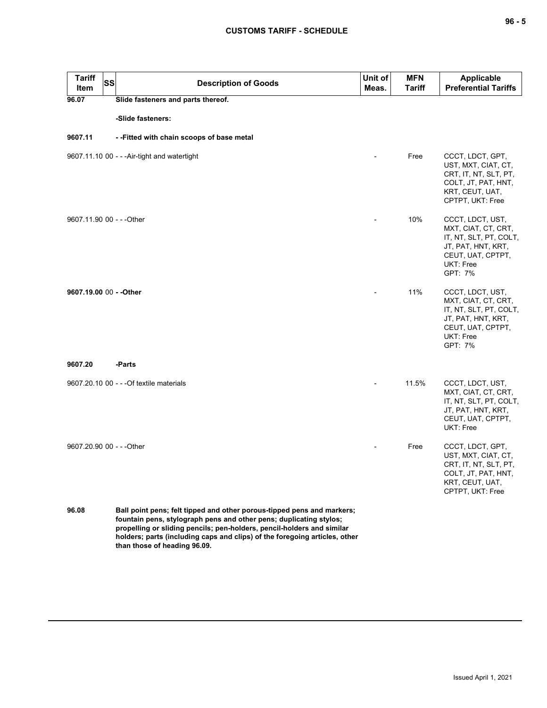| <b>Tariff</b><br><b>SS</b><br>Item | <b>Description of Goods</b>                                                                                                                                                                                                                                                                          | Unit of<br>Meas. | <b>MFN</b><br><b>Tariff</b> | <b>Applicable</b><br><b>Preferential Tariffs</b>                                                                                     |
|------------------------------------|------------------------------------------------------------------------------------------------------------------------------------------------------------------------------------------------------------------------------------------------------------------------------------------------------|------------------|-----------------------------|--------------------------------------------------------------------------------------------------------------------------------------|
| 96.07                              | Slide fasteners and parts thereof.                                                                                                                                                                                                                                                                   |                  |                             |                                                                                                                                      |
|                                    | -Slide fasteners:                                                                                                                                                                                                                                                                                    |                  |                             |                                                                                                                                      |
| 9607.11                            | --Fitted with chain scoops of base metal                                                                                                                                                                                                                                                             |                  |                             |                                                                                                                                      |
|                                    | 9607.11.10 00 - - - Air-tight and watertight                                                                                                                                                                                                                                                         |                  | Free                        | CCCT, LDCT, GPT,<br>UST, MXT, CIAT, CT,<br>CRT, IT, NT, SLT, PT,<br>COLT, JT, PAT, HNT,<br>KRT, CEUT, UAT,<br>CPTPT, UKT: Free       |
| 9607.11.90 00 - - - Other          |                                                                                                                                                                                                                                                                                                      |                  | 10%                         | CCCT, LDCT, UST,<br>MXT, CIAT, CT, CRT,<br>IT, NT, SLT, PT, COLT,<br>JT, PAT, HNT, KRT,<br>CEUT, UAT, CPTPT,<br>UKT: Free<br>GPT: 7% |
| 9607.19.00 00 - - Other            |                                                                                                                                                                                                                                                                                                      |                  | 11%                         | CCCT, LDCT, UST,<br>MXT, CIAT, CT, CRT,<br>IT, NT, SLT, PT, COLT,<br>JT, PAT, HNT, KRT,<br>CEUT, UAT, CPTPT,<br>UKT: Free<br>GPT: 7% |
| 9607.20                            | -Parts                                                                                                                                                                                                                                                                                               |                  |                             |                                                                                                                                      |
|                                    | 9607.20.10 00 - - - Of textile materials                                                                                                                                                                                                                                                             |                  | 11.5%                       | CCCT, LDCT, UST,<br>MXT, CIAT, CT, CRT,<br>IT, NT, SLT, PT, COLT,<br>JT, PAT, HNT, KRT,<br>CEUT, UAT, CPTPT,<br>UKT: Free            |
| 9607.20.90 00 - - - Other          |                                                                                                                                                                                                                                                                                                      |                  | Free                        | CCCT, LDCT, GPT,<br>UST, MXT, CIAT, CT,<br>CRT, IT, NT, SLT, PT,<br>COLT, JT, PAT, HNT,<br>KRT, CEUT, UAT,<br>CPTPT, UKT: Free       |
| 96.08                              | Ball point pens; felt tipped and other porous-tipped pens and markers;<br>fountain pens, stylograph pens and other pens; duplicating stylos;<br>propelling or sliding pencils; pen-holders, pencil-holders and similar<br>holders; parts (including caps and clips) of the foregoing articles, other |                  |                             |                                                                                                                                      |

**than those of heading 96.09.**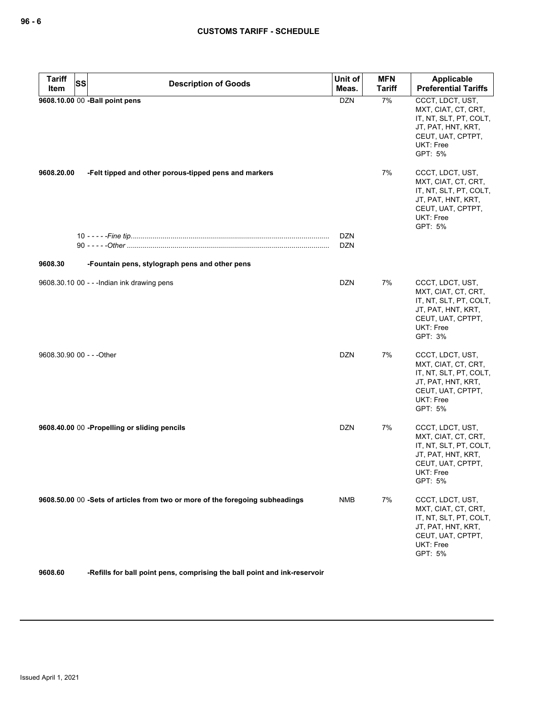| <b>Tariff</b><br><b>SS</b> | <b>Description of Goods</b>                                                   | Unit of    | <b>MFN</b>    | Applicable                                                                                                                           |
|----------------------------|-------------------------------------------------------------------------------|------------|---------------|--------------------------------------------------------------------------------------------------------------------------------------|
| Item                       |                                                                               | Meas.      | <b>Tariff</b> | <b>Preferential Tariffs</b>                                                                                                          |
|                            | 9608.10.00 00 -Ball point pens                                                | <b>DZN</b> | 7%            | CCCT, LDCT, UST,<br>MXT, CIAT, CT, CRT,<br>IT, NT, SLT, PT, COLT,<br>JT, PAT, HNT, KRT,<br>CEUT, UAT, CPTPT,<br>UKT: Free<br>GPT: 5% |
| 9608.20.00                 | -Felt tipped and other porous-tipped pens and markers                         |            | 7%            | CCCT, LDCT, UST,<br>MXT, CIAT, CT, CRT,<br>IT, NT, SLT, PT, COLT,<br>JT, PAT, HNT, KRT,<br>CEUT, UAT, CPTPT,<br>UKT: Free<br>GPT: 5% |
|                            |                                                                               | <b>DZN</b> |               |                                                                                                                                      |
|                            |                                                                               | <b>DZN</b> |               |                                                                                                                                      |
| 9608.30                    | -Fountain pens, stylograph pens and other pens                                |            |               |                                                                                                                                      |
|                            | 9608.30.10 00 - - - Indian ink drawing pens                                   | <b>DZN</b> | 7%            | CCCT, LDCT, UST,<br>MXT, CIAT, CT, CRT,<br>IT, NT, SLT, PT, COLT,<br>JT, PAT, HNT, KRT,<br>CEUT, UAT, CPTPT,<br>UKT: Free<br>GPT: 3% |
| 9608.30.90 00 - - - Other  |                                                                               | <b>DZN</b> | 7%            | CCCT, LDCT, UST,<br>MXT, CIAT, CT, CRT,<br>IT, NT, SLT, PT, COLT,<br>JT, PAT, HNT, KRT,<br>CEUT, UAT, CPTPT,<br>UKT: Free<br>GPT: 5% |
|                            | 9608.40.00 00 -Propelling or sliding pencils                                  | <b>DZN</b> | 7%            | CCCT, LDCT, UST,<br>MXT, CIAT, CT, CRT,<br>IT, NT, SLT, PT, COLT,<br>JT, PAT, HNT, KRT,<br>CEUT, UAT, CPTPT,<br>UKT: Free<br>GPT: 5% |
|                            | 9608.50.00 00 -Sets of articles from two or more of the foregoing subheadings | <b>NMB</b> | 7%            | CCCT, LDCT, UST,<br>MXT, CIAT, CT, CRT,<br>IT, NT, SLT, PT, COLT,<br>JT, PAT, HNT, KRT,<br>CEUT, UAT, CPTPT,<br>UKT: Free<br>GPT: 5% |
| 9608.60                    | -Refills for ball point pens, comprising the ball point and ink-reservoir     |            |               |                                                                                                                                      |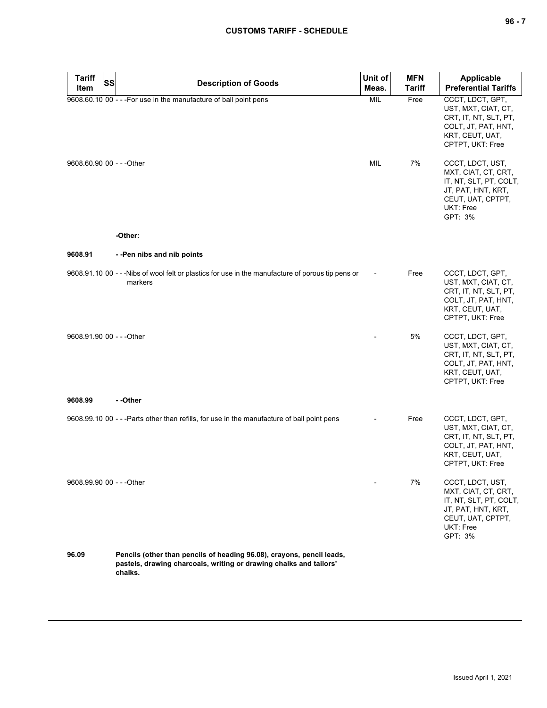| <b>Tariff</b><br><b>SS</b><br>Item | <b>Description of Goods</b>                                                                                                                            | Unit of<br>Meas. | <b>MFN</b><br><b>Tariff</b> | <b>Applicable</b><br><b>Preferential Tariffs</b>                                                                                     |
|------------------------------------|--------------------------------------------------------------------------------------------------------------------------------------------------------|------------------|-----------------------------|--------------------------------------------------------------------------------------------------------------------------------------|
|                                    | 9608.60.10 00 - - - For use in the manufacture of ball point pens                                                                                      | MIL              | Free                        | CCCT, LDCT, GPT,<br>UST, MXT, CIAT, CT,<br>CRT, IT, NT, SLT, PT,<br>COLT, JT, PAT, HNT,<br>KRT, CEUT, UAT,<br>CPTPT, UKT: Free       |
| 9608.60.90 00 - - - Other          |                                                                                                                                                        | MIL              | 7%                          | CCCT, LDCT, UST,<br>MXT, CIAT, CT, CRT,<br>IT, NT, SLT, PT, COLT,<br>JT, PAT, HNT, KRT,<br>CEUT, UAT, CPTPT,<br>UKT: Free<br>GPT: 3% |
|                                    | -Other:                                                                                                                                                |                  |                             |                                                                                                                                      |
| 9608.91                            | --Pen nibs and nib points                                                                                                                              |                  |                             |                                                                                                                                      |
|                                    | 9608.91.10 00 - - - Nibs of wool felt or plastics for use in the manufacture of porous tip pens or<br>markers                                          |                  | Free                        | CCCT, LDCT, GPT,<br>UST, MXT, CIAT, CT,<br>CRT, IT, NT, SLT, PT,<br>COLT, JT, PAT, HNT,<br>KRT, CEUT, UAT,<br>CPTPT, UKT: Free       |
| 9608.91.90 00 - - - Other          |                                                                                                                                                        |                  | 5%                          | CCCT, LDCT, GPT,<br>UST, MXT, CIAT, CT,<br>CRT, IT, NT, SLT, PT,<br>COLT, JT, PAT, HNT,<br>KRT, CEUT, UAT,<br>CPTPT, UKT: Free       |
| 9608.99                            | - -Other                                                                                                                                               |                  |                             |                                                                                                                                      |
|                                    | 9608.99.10 00 - - -Parts other than refills, for use in the manufacture of ball point pens                                                             |                  | Free                        | CCCT, LDCT, GPT,<br>UST, MXT, CIAT, CT,<br>CRT, IT, NT, SLT, PT,<br>COLT, JT, PAT, HNT,<br>KRT, CEUT, UAT,<br>CPTPT, UKT: Free       |
| 9608.99.90 00 - - - Other          |                                                                                                                                                        |                  | 7%                          | CCCT, LDCT, UST,<br>MXT, CIAT, CT, CRT,<br>IT, NT, SLT, PT, COLT,<br>JT, PAT, HNT, KRT,<br>CEUT, UAT, CPTPT,<br>UKT: Free<br>GPT: 3% |
| 96.09                              | Pencils (other than pencils of heading 96.08), crayons, pencil leads,<br>pastels, drawing charcoals, writing or drawing chalks and tailors'<br>chalks. |                  |                             |                                                                                                                                      |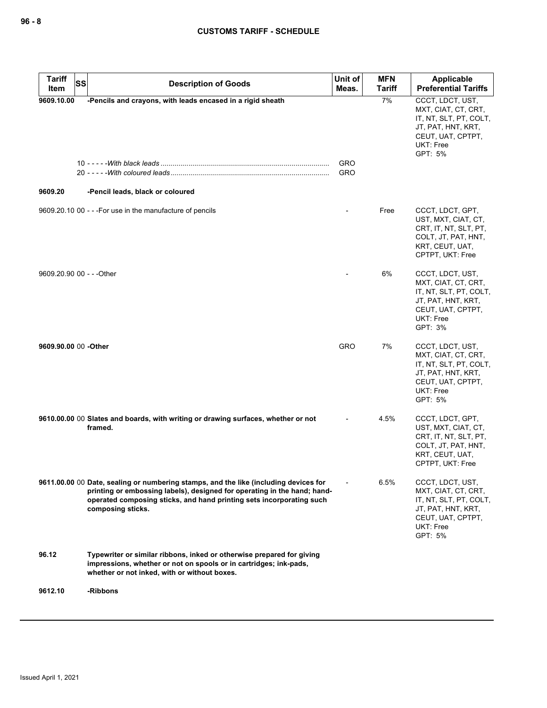| <b>Tariff</b><br><b>SS</b><br>Item | <b>Description of Goods</b>                                                                                                                                                                                                                                   | Unit of<br>Meas.         | <b>MFN</b><br><b>Tariff</b> | Applicable<br><b>Preferential Tariffs</b>                                                                                            |
|------------------------------------|---------------------------------------------------------------------------------------------------------------------------------------------------------------------------------------------------------------------------------------------------------------|--------------------------|-----------------------------|--------------------------------------------------------------------------------------------------------------------------------------|
| 9609.10.00<br>9609.20              | -Pencils and crayons, with leads encased in a rigid sheath<br>-Pencil leads, black or coloured                                                                                                                                                                | <b>GRO</b><br><b>GRO</b> | 7%                          | CCCT, LDCT, UST,<br>MXT, CIAT, CT, CRT,<br>IT, NT, SLT, PT, COLT,<br>JT, PAT, HNT, KRT,<br>CEUT, UAT, CPTPT,<br>UKT: Free<br>GPT: 5% |
|                                    |                                                                                                                                                                                                                                                               |                          |                             |                                                                                                                                      |
|                                    | 9609.20.10 00 - - - For use in the manufacture of pencils                                                                                                                                                                                                     |                          | Free                        | CCCT, LDCT, GPT,<br>UST, MXT, CIAT, CT,<br>CRT, IT, NT, SLT, PT,<br>COLT, JT, PAT, HNT,<br>KRT, CEUT, UAT,<br>CPTPT, UKT: Free       |
| 9609.20.90 00 - - - Other          |                                                                                                                                                                                                                                                               |                          | 6%                          | CCCT, LDCT, UST,<br>MXT, CIAT, CT, CRT,<br>IT, NT, SLT, PT, COLT,<br>JT, PAT, HNT, KRT,<br>CEUT, UAT, CPTPT,<br>UKT: Free<br>GPT: 3% |
| 9609.90.00 00 -Other               |                                                                                                                                                                                                                                                               | <b>GRO</b>               | 7%                          | CCCT, LDCT, UST,<br>MXT, CIAT, CT, CRT,<br>IT, NT, SLT, PT, COLT,<br>JT, PAT, HNT, KRT,<br>CEUT, UAT, CPTPT,<br>UKT: Free<br>GPT: 5% |
|                                    | 9610.00.00 00 Slates and boards, with writing or drawing surfaces, whether or not<br>framed.                                                                                                                                                                  |                          | 4.5%                        | CCCT, LDCT, GPT,<br>UST, MXT, CIAT, CT,<br>CRT, IT, NT, SLT, PT,<br>COLT, JT, PAT, HNT,<br>KRT, CEUT, UAT,<br>CPTPT, UKT: Free       |
|                                    | 9611.00.00 00 Date, sealing or numbering stamps, and the like (including devices for<br>printing or embossing labels), designed for operating in the hand; hand-<br>operated composing sticks, and hand printing sets incorporating such<br>composing sticks. |                          | 6.5%                        | CCCT, LDCT, UST,<br>MXT, CIAT, CT, CRT,<br>IT, NT, SLT, PT, COLT,<br>JT, PAT, HNT, KRT,<br>CEUT, UAT, CPTPT,<br>UKT: Free<br>GPT: 5% |
| 96.12                              | Typewriter or similar ribbons, inked or otherwise prepared for giving<br>impressions, whether or not on spools or in cartridges; ink-pads,<br>whether or not inked, with or without boxes.                                                                    |                          |                             |                                                                                                                                      |
| 9612.10                            | -Ribbons                                                                                                                                                                                                                                                      |                          |                             |                                                                                                                                      |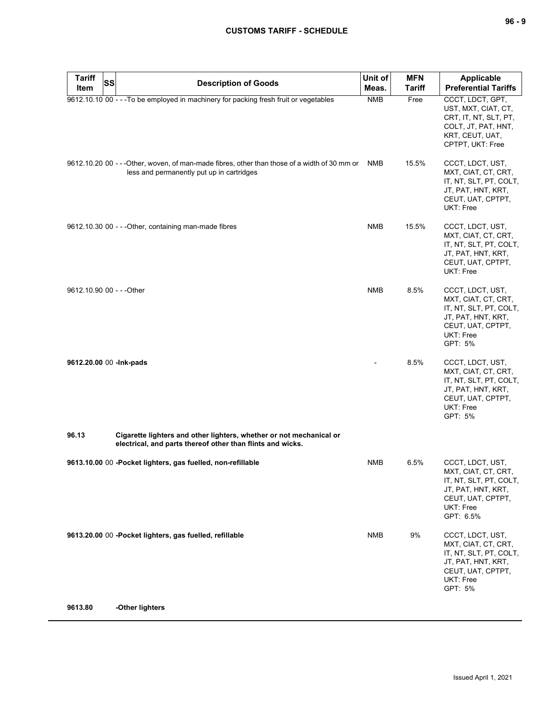| <b>Tariff</b><br><b>SS</b><br>Item | <b>Description of Goods</b>                                                                                                                | Unit of<br>Meas. | <b>MFN</b><br><b>Tariff</b> | <b>Applicable</b><br><b>Preferential Tariffs</b>                                                                                       |
|------------------------------------|--------------------------------------------------------------------------------------------------------------------------------------------|------------------|-----------------------------|----------------------------------------------------------------------------------------------------------------------------------------|
|                                    | 9612.10.10 00 - - - To be employed in machinery for packing fresh fruit or vegetables                                                      | <b>NMB</b>       | Free                        | CCCT, LDCT, GPT,<br>UST, MXT, CIAT, CT,<br>CRT, IT, NT, SLT, PT,<br>COLT, JT, PAT, HNT,<br>KRT, CEUT, UAT,<br>CPTPT, UKT: Free         |
|                                    | 9612.10.20 00 - - - Other, woven, of man-made fibres, other than those of a width of 30 mm or<br>less and permanently put up in cartridges | NMB              | 15.5%                       | CCCT, LDCT, UST,<br>MXT, CIAT, CT, CRT,<br>IT, NT, SLT, PT, COLT,<br>JT, PAT, HNT, KRT,<br>CEUT, UAT, CPTPT,<br>UKT: Free              |
|                                    | 9612.10.30 00 - - - Other, containing man-made fibres                                                                                      | <b>NMB</b>       | 15.5%                       | CCCT, LDCT, UST,<br>MXT, CIAT, CT, CRT,<br>IT, NT, SLT, PT, COLT,<br>JT, PAT, HNT, KRT,<br>CEUT, UAT, CPTPT,<br>UKT: Free              |
| 9612.10.90 00 - - - Other          |                                                                                                                                            | <b>NMB</b>       | 8.5%                        | CCCT, LDCT, UST,<br>MXT, CIAT, CT, CRT,<br>IT, NT, SLT, PT, COLT,<br>JT, PAT, HNT, KRT,<br>CEUT, UAT, CPTPT,<br>UKT: Free<br>GPT: 5%   |
| 9612.20.00 00 -Ink-pads            |                                                                                                                                            |                  | 8.5%                        | CCCT, LDCT, UST,<br>MXT, CIAT, CT, CRT,<br>IT, NT, SLT, PT, COLT,<br>JT, PAT, HNT, KRT,<br>CEUT, UAT, CPTPT,<br>UKT: Free<br>GPT: 5%   |
| 96.13                              | Cigarette lighters and other lighters, whether or not mechanical or<br>electrical, and parts thereof other than flints and wicks.          |                  |                             |                                                                                                                                        |
|                                    | 9613.10.00 00 -Pocket lighters, gas fuelled, non-refillable                                                                                | <b>NMB</b>       | 6.5%                        | CCCT, LDCT, UST,<br>MXT, CIAT, CT, CRT,<br>IT, NT, SLT, PT, COLT,<br>JT, PAT, HNT, KRT,<br>CEUT, UAT, CPTPT,<br>UKT: Free<br>GPT: 6.5% |
|                                    | 9613.20.00 00 -Pocket lighters, gas fuelled, refillable                                                                                    | <b>NMB</b>       | 9%                          | CCCT, LDCT, UST,<br>MXT, CIAT, CT, CRT,<br>IT, NT, SLT, PT, COLT,<br>JT, PAT, HNT, KRT,<br>CEUT, UAT, CPTPT,<br>UKT: Free<br>GPT: 5%   |
| 9613.80                            | -Other lighters                                                                                                                            |                  |                             |                                                                                                                                        |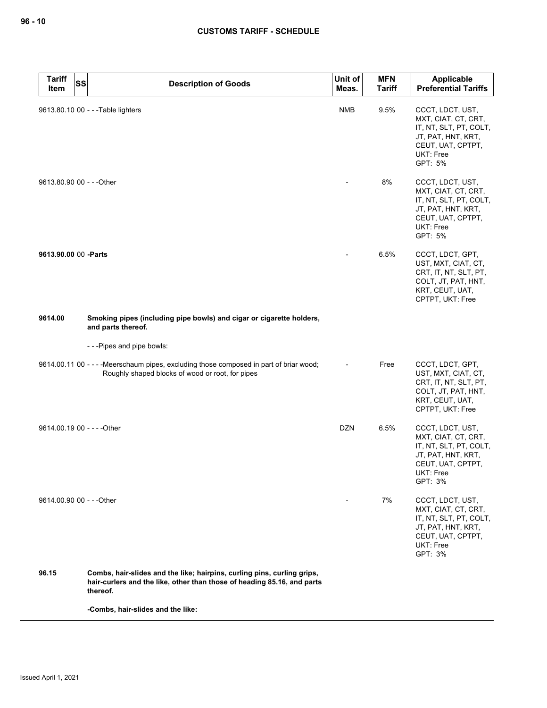| <b>Tariff</b><br><b>SS</b><br>Item | <b>Description of Goods</b>                                                                                                                                    | Unit of<br>Meas. | <b>MFN</b><br><b>Tariff</b> | Applicable<br><b>Preferential Tariffs</b>                                                                                                   |
|------------------------------------|----------------------------------------------------------------------------------------------------------------------------------------------------------------|------------------|-----------------------------|---------------------------------------------------------------------------------------------------------------------------------------------|
|                                    | 9613.80.10 00 - - - Table lighters                                                                                                                             | <b>NMB</b>       | 9.5%                        | CCCT, LDCT, UST,<br>MXT, CIAT, CT, CRT,<br>IT, NT, SLT, PT, COLT,<br>JT, PAT, HNT, KRT,<br>CEUT, UAT, CPTPT,<br>UKT: Free<br>GPT: 5%        |
| 9613.80.90 00 - - - Other          |                                                                                                                                                                |                  | 8%                          | CCCT, LDCT, UST,<br>MXT, CIAT, CT, CRT,<br>IT, NT, SLT, PT, COLT,<br>JT, PAT, HNT, KRT,<br>CEUT, UAT, CPTPT,<br>UKT: Free<br>GPT: 5%        |
| 9613.90.00 00 -Parts               |                                                                                                                                                                |                  | 6.5%                        | CCCT, LDCT, GPT,<br>UST, MXT, CIAT, CT,<br>CRT, IT, NT, SLT, PT,<br>COLT, JT, PAT, HNT,<br>KRT, CEUT, UAT,<br>CPTPT, UKT: Free              |
| 9614.00                            | Smoking pipes (including pipe bowls) and cigar or cigarette holders,<br>and parts thereof.                                                                     |                  |                             |                                                                                                                                             |
|                                    | ---Pipes and pipe bowls:                                                                                                                                       |                  |                             |                                                                                                                                             |
|                                    | 9614.00.11 00 - - - - Meerschaum pipes, excluding those composed in part of briar wood;<br>Roughly shaped blocks of wood or root, for pipes                    |                  | Free                        | CCCT, LDCT, GPT,<br>UST, MXT, CIAT, CT,<br>CRT, IT, NT, SLT, PT,<br>COLT, JT, PAT, HNT,<br>KRT, CEUT, UAT,<br>CPTPT, UKT: Free              |
| 9614.00.19 00 - - - - Other        |                                                                                                                                                                | <b>DZN</b>       | 6.5%                        | CCCT, LDCT, UST,<br>MXT, CIAT, CT, CRT,<br>IT, NT, SLT, PT, COLT,<br>JT, PAT, HNT, KRT,<br>CEUT, UAT, CPTPT,<br>UKT: Free<br>GPT: 3%        |
| 9614.00.90 00 - - - Other          |                                                                                                                                                                |                  | 7%                          | CCCT, LDCT, UST,<br>MXT, CIAT, CT, CRT,<br>IT, NT, SLT, PT, COLT,<br>JT, PAT, HNT, KRT,<br>CEUT, UAT, CPTPT,<br><b>UKT: Free</b><br>GPT: 3% |
| 96.15                              | Combs, hair-slides and the like; hairpins, curling pins, curling grips,<br>hair-curlers and the like, other than those of heading 85.16, and parts<br>thereof. |                  |                             |                                                                                                                                             |

**-Combs, hair-slides and the like:**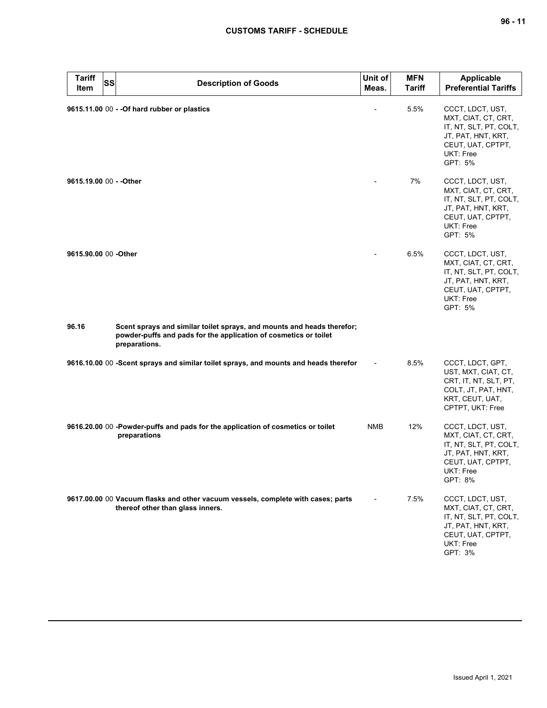| <b>Tariff</b><br>SS<br>Item | <b>Description of Goods</b>                                                                                                                                 | Unit of<br>Meas. | <b>MFN</b><br><b>Tariff</b> | <b>Applicable</b><br><b>Preferential Tariffs</b>                                                                                     |
|-----------------------------|-------------------------------------------------------------------------------------------------------------------------------------------------------------|------------------|-----------------------------|--------------------------------------------------------------------------------------------------------------------------------------|
|                             | 9615.11.00 00 - - Of hard rubber or plastics                                                                                                                |                  | 5.5%                        | CCCT, LDCT, UST,<br>MXT, CIAT, CT, CRT,<br>IT, NT, SLT, PT, COLT,<br>JT, PAT, HNT, KRT,<br>CEUT, UAT, CPTPT,<br>UKT: Free<br>GPT: 5% |
| 9615.19.00 00 - - Other     |                                                                                                                                                             |                  | 7%                          | CCCT, LDCT, UST,<br>MXT, CIAT, CT, CRT,<br>IT, NT, SLT, PT, COLT,<br>JT, PAT, HNT, KRT,<br>CEUT, UAT, CPTPT,<br>UKT: Free<br>GPT: 5% |
| 9615.90.00 00 -Other        |                                                                                                                                                             |                  | 6.5%                        | CCCT, LDCT, UST,<br>MXT, CIAT, CT, CRT,<br>IT, NT, SLT, PT, COLT,<br>JT, PAT, HNT, KRT,<br>CEUT, UAT, CPTPT,<br>UKT: Free<br>GPT: 5% |
| 96.16                       | Scent sprays and similar toilet sprays, and mounts and heads therefor;<br>powder-puffs and pads for the application of cosmetics or toilet<br>preparations. |                  |                             |                                                                                                                                      |
|                             | 9616.10.00 00 -Scent sprays and similar toilet sprays, and mounts and heads therefor                                                                        |                  | 8.5%                        | CCCT, LDCT, GPT,<br>UST, MXT, CIAT, CT,<br>CRT, IT, NT, SLT, PT,<br>COLT, JT, PAT, HNT,<br>KRT, CEUT, UAT,<br>CPTPT, UKT: Free       |
|                             | 9616.20.00 00 -Powder-puffs and pads for the application of cosmetics or toilet<br>preparations                                                             | <b>NMB</b>       | 12%                         | CCCT, LDCT, UST,<br>MXT, CIAT, CT, CRT,<br>IT, NT, SLT, PT, COLT,<br>JT, PAT, HNT, KRT,<br>CEUT, UAT, CPTPT,<br>UKT: Free<br>GPT: 8% |
|                             | 9617.00.00 00 Vacuum flasks and other vacuum vessels, complete with cases; parts<br>thereof other than glass inners.                                        |                  | 7.5%                        | CCCT, LDCT, UST,<br>MXT, CIAT, CT, CRT,<br>IT, NT, SLT, PT, COLT,<br>JT, PAT, HNT, KRT,<br>CEUT, UAT, CPTPT,<br>UKT: Free<br>GPT: 3% |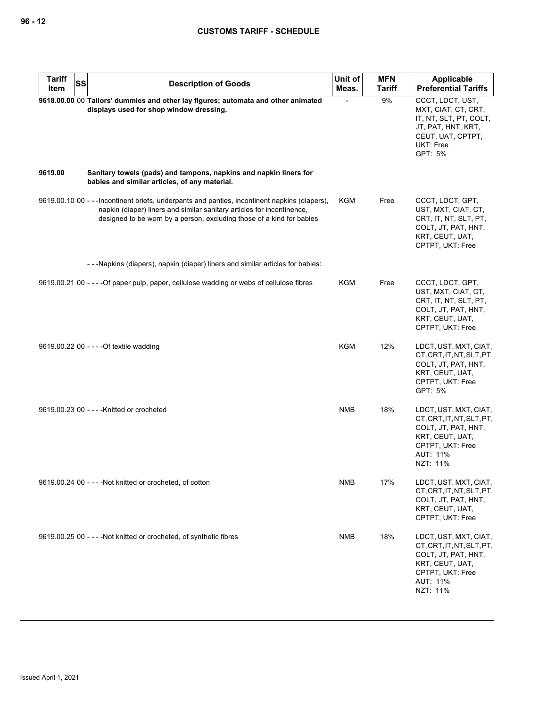| <b>Tariff</b><br>Item | <b>SS</b> | <b>Description of Goods</b>                                                                                                                                                                                                                       | Unit of<br>Meas. | <b>MFN</b><br><b>Tariff</b> | Applicable<br><b>Preferential Tariffs</b>                                                                                                |
|-----------------------|-----------|---------------------------------------------------------------------------------------------------------------------------------------------------------------------------------------------------------------------------------------------------|------------------|-----------------------------|------------------------------------------------------------------------------------------------------------------------------------------|
|                       |           | 9618.00.00 00 Tailors' dummies and other lay figures; automata and other animated<br>displays used for shop window dressing.                                                                                                                      |                  | 9%                          | CCCT, LDCT, UST,<br>MXT, CIAT, CT, CRT,<br>IT, NT, SLT, PT, COLT,<br>JT, PAT, HNT, KRT,<br>CEUT, UAT, CPTPT,<br>UKT: Free<br>GPT: 5%     |
| 9619.00               |           | Sanitary towels (pads) and tampons, napkins and napkin liners for<br>babies and similar articles, of any material.                                                                                                                                |                  |                             |                                                                                                                                          |
|                       |           | 9619.00.10 00 - - - Incontinent briefs, underpants and panties, incontinent napkins (diapers),<br>napkin (diaper) liners and similar sanitary articles for incontinence,<br>designed to be worn by a person, excluding those of a kind for babies | KGM              | Free                        | CCCT, LDCT, GPT,<br>UST, MXT, CIAT, CT,<br>CRT, IT, NT, SLT, PT,<br>COLT, JT, PAT, HNT,<br>KRT, CEUT, UAT,<br>CPTPT, UKT: Free           |
|                       |           | - - - Napkins (diapers), napkin (diaper) liners and similar articles for babies:                                                                                                                                                                  |                  |                             |                                                                                                                                          |
|                       |           | 9619.00.21 00 - - - - Of paper pulp, paper, cellulose wadding or webs of cellulose fibres                                                                                                                                                         | KGM              | Free                        | CCCT, LDCT, GPT,<br>UST, MXT, CIAT, CT,<br>CRT, IT, NT, SLT, PT,<br>COLT, JT, PAT, HNT,<br>KRT, CEUT, UAT,<br>CPTPT, UKT: Free           |
|                       |           | 9619.00.22 00 - - - - Of textile wadding                                                                                                                                                                                                          | <b>KGM</b>       | 12%                         | LDCT, UST, MXT, CIAT,<br>CT, CRT, IT, NT, SLT, PT,<br>COLT, JT, PAT, HNT,<br>KRT, CEUT, UAT,<br>CPTPT, UKT: Free<br>GPT: 5%              |
|                       |           | 9619.00.23 00 - - - - Knitted or crocheted                                                                                                                                                                                                        | <b>NMB</b>       | 18%                         | LDCT, UST, MXT, CIAT,<br>CT, CRT, IT, NT, SLT, PT,<br>COLT, JT, PAT, HNT,<br>KRT, CEUT, UAT,<br>CPTPT, UKT: Free<br>AUT: 11%<br>NZT: 11% |
|                       |           | 9619.00.24 00 - - - - Not knitted or crocheted, of cotton                                                                                                                                                                                         | NMB              | 17%                         | LDCT, UST, MXT, CIAT,<br>CT, CRT, IT, NT, SLT, PT,<br>COLT, JT, PAT, HNT,<br>KRT, CEUT, UAT,<br>CPTPT, UKT: Free                         |
|                       |           | 9619.00.25 00 - - - - Not knitted or crocheted, of synthetic fibres                                                                                                                                                                               | NMB              | 18%                         | LDCT, UST, MXT, CIAT,<br>CT, CRT, IT, NT, SLT, PT,<br>COLT, JT, PAT, HNT,<br>KRT, CEUT, UAT,<br>CPTPT, UKT: Free<br>AUT: 11%<br>NZT: 11% |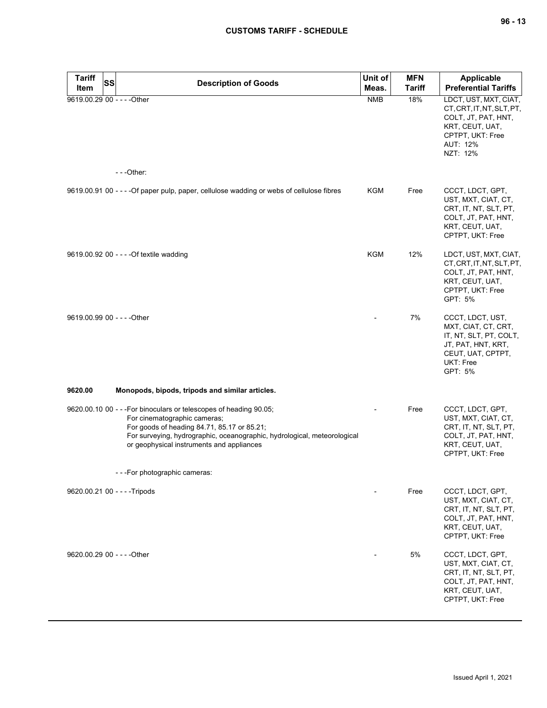| <b>Tariff</b><br>SS         | <b>Description of Goods</b>                                                                                                                                                                                                                                                | Unit of    | <b>MFN</b>    | <b>Applicable</b>                                                                                                                           |
|-----------------------------|----------------------------------------------------------------------------------------------------------------------------------------------------------------------------------------------------------------------------------------------------------------------------|------------|---------------|---------------------------------------------------------------------------------------------------------------------------------------------|
| Item                        |                                                                                                                                                                                                                                                                            | Meas.      | <b>Tariff</b> | <b>Preferential Tariffs</b>                                                                                                                 |
| 9619.00.29 00 - - - - Other | $- -$ Other:                                                                                                                                                                                                                                                               | <b>NMB</b> | 18%           | LDCT, UST, MXT, CIAT,<br>CT, CRT, IT, NT, SLT, PT,<br>COLT, JT, PAT, HNT,<br>KRT, CEUT, UAT,<br>CPTPT, UKT: Free<br>AUT: 12%<br>NZT: 12%    |
|                             |                                                                                                                                                                                                                                                                            |            |               |                                                                                                                                             |
|                             | 9619.00.91 00 - - - - Of paper pulp, paper, cellulose wadding or webs of cellulose fibres                                                                                                                                                                                  | KGM        | Free          | CCCT, LDCT, GPT,<br>UST, MXT, CIAT, CT,<br>CRT, IT, NT, SLT, PT,<br>COLT, JT, PAT, HNT,<br>KRT, CEUT, UAT,<br>CPTPT, UKT: Free              |
|                             | 9619.00.92 00 - - - - Of textile wadding                                                                                                                                                                                                                                   | <b>KGM</b> | 12%           | LDCT, UST, MXT, CIAT,<br>CT, CRT, IT, NT, SLT, PT,<br>COLT, JT, PAT, HNT,<br>KRT, CEUT, UAT,<br>CPTPT, UKT: Free<br>GPT: 5%                 |
| 9619.00.99 00 - - - - Other |                                                                                                                                                                                                                                                                            |            | 7%            | CCCT, LDCT, UST,<br>MXT, CIAT, CT, CRT,<br>IT, NT, SLT, PT, COLT,<br>JT, PAT, HNT, KRT,<br>CEUT, UAT, CPTPT,<br><b>UKT: Free</b><br>GPT: 5% |
| 9620.00                     | Monopods, bipods, tripods and similar articles.                                                                                                                                                                                                                            |            |               |                                                                                                                                             |
|                             | 9620.00.10 00 - - - For binoculars or telescopes of heading 90.05;<br>For cinematographic cameras;<br>For goods of heading 84.71, 85.17 or 85.21;<br>For surveying, hydrographic, oceanographic, hydrological, meteorological<br>or geophysical instruments and appliances |            | Free          | CCCT, LDCT, GPT,<br>UST, MXT, CIAT, CT,<br>CRT, IT, NT, SLT, PT,<br>COLT, JT, PAT, HNT,<br>KRT, CEUT, UAT,<br>CPTPT, UKT: Free              |
|                             | - - - For photographic cameras:                                                                                                                                                                                                                                            |            |               |                                                                                                                                             |
|                             | 9620.00.21 00 - - - - Tripods                                                                                                                                                                                                                                              |            | Free          | CCCT, LDCT, GPT,<br>UST, MXT, CIAT, CT,<br>CRT, IT, NT, SLT, PT,<br>COLT, JT, PAT, HNT,<br>KRT, CEUT, UAT,<br>CPTPT, UKT: Free              |
| 9620.00.29 00 - - - - Other |                                                                                                                                                                                                                                                                            |            | 5%            | CCCT, LDCT, GPT,<br>UST, MXT, CIAT, CT,<br>CRT, IT, NT, SLT, PT,<br>COLT, JT, PAT, HNT,<br>KRT, CEUT, UAT,<br>CPTPT, UKT: Free              |